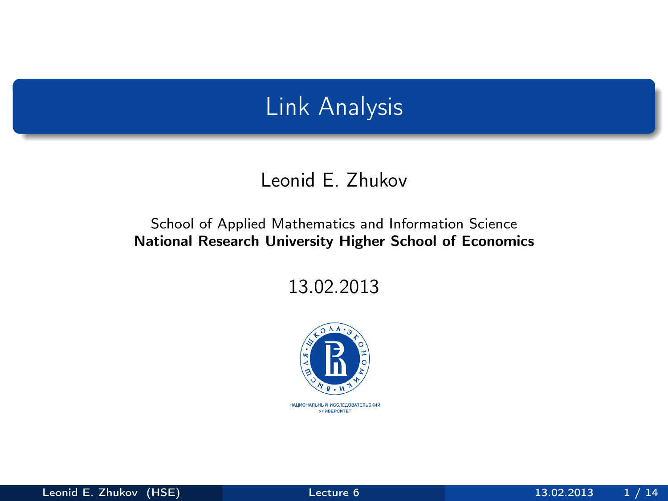# Link Analysis

#### Leonid E. Zhukov

#### School of Applied Mathematics and Information Science National Research University Higher School of Economics

13.02.2013

<span id="page-0-0"></span>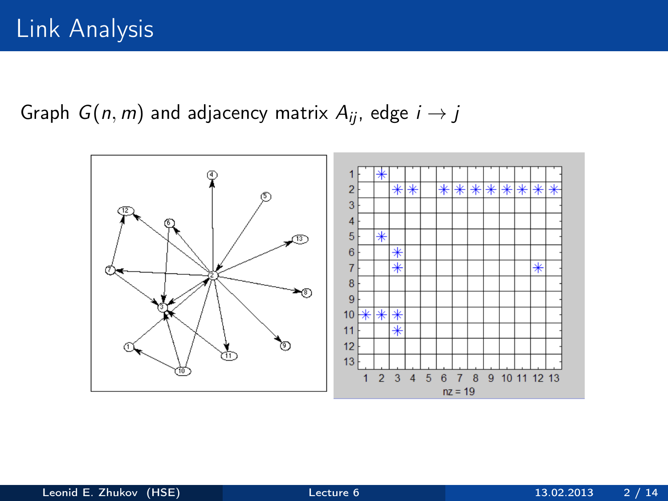Graph  $G(n, m)$  and adjacency matrix  $A_{ii}$ , edge  $i \rightarrow j$ 

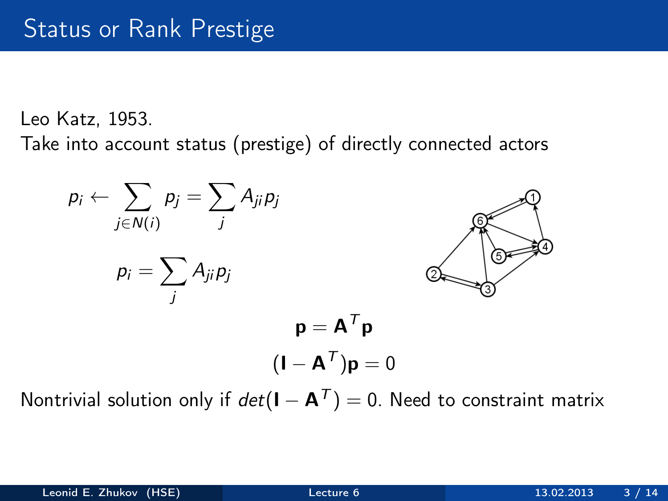Leo Katz, 1953.

Take into account status (prestige) of directly connected actors



Nontrivial solution only if  $det(I - A^T) = 0$ . Need to constraint matrix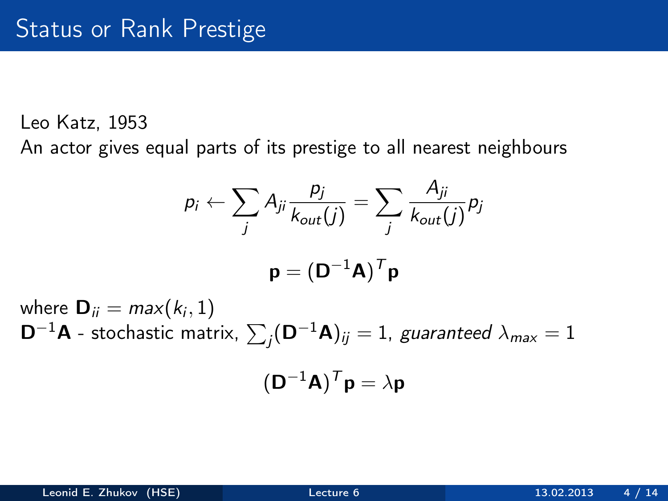Leo Katz, 1953

An actor gives equal parts of its prestige to all nearest neighbours

$$
p_i \leftarrow \sum_j A_{ji} \frac{p_j}{k_{out}(j)} = \sum_j \frac{A_{ji}}{k_{out}(j)} p_j
$$

$$
\mathbf{p} = (\mathbf{D}^{-1} \mathbf{A})^T \mathbf{p}
$$

where  $\mathbf{D}_{ii} = max(k_i, 1)$  $\mathsf{D}^{-1}\mathsf{A}$  - stochastic matrix,  $\sum_j (\mathsf{D}^{-1}\mathsf{A})_{ij} = 1$ , guaranteed  $\lambda_{\sf max} = 1$ 

$$
(\mathbf{D}^{-1}\mathbf{A})^T\mathbf{p} = \lambda \mathbf{p}
$$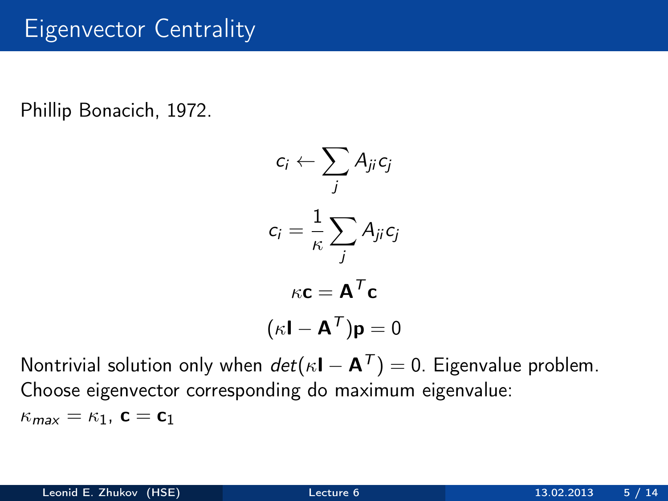## Eigenvector Centrality

Phillip Bonacich, 1972.

$$
c_i \leftarrow \sum_j A_{ji} c_j
$$

$$
c_i = \frac{1}{\kappa} \sum_j A_{ji} c_j
$$

$$
\kappa \mathbf{c} = \mathbf{A}^T \mathbf{c}
$$

$$
(\kappa \mathbf{I} - \mathbf{A}^T) \mathbf{p} = 0
$$

Nontrivial solution only when  $det(\kappa I - A^T) = 0$ . Eigenvalue problem. Choose eigenvector corresponding do maximum eigenvalue:  $\kappa_{\text{max}} = \kappa_1$ ,  $\mathbf{c} = \mathbf{c}_1$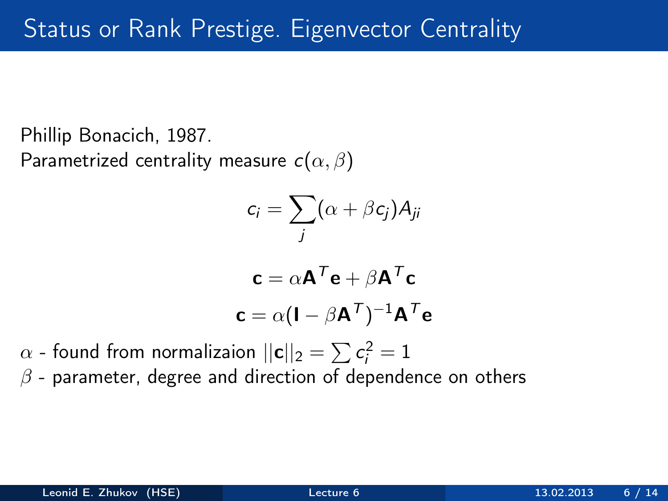Phillip Bonacich, 1987. Parametrized centrality measure  $c(\alpha, \beta)$ 

$$
c_i = \sum_j (\alpha + \beta c_j) A_{ji}
$$

$$
\mathbf{c} = \alpha \mathbf{A}^T \mathbf{e} + \beta \mathbf{A}^T \mathbf{c}
$$

$$
\mathbf{c} = \alpha (\mathbf{I} - \beta \mathbf{A}^T)^{-1} \mathbf{A}^T \mathbf{e}
$$

 $\alpha$  - found from normalizaion  $||\mathbf{c}||_2 = \sum \mathbf{c}_i^2 = 1$ 

 $\beta$  - parameter, degree and direction of dependence on others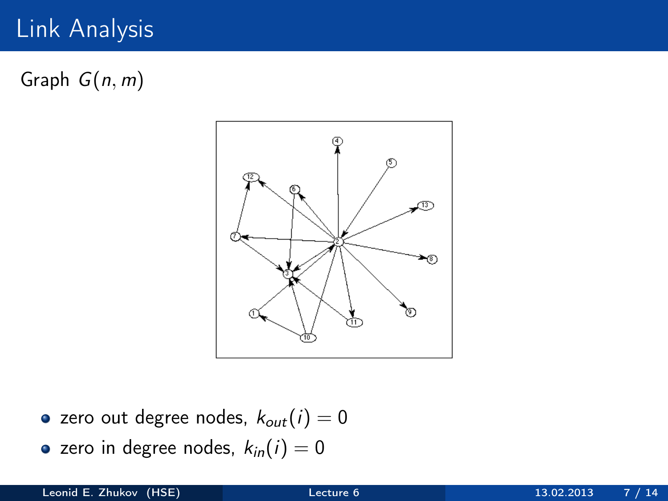# Link Analysis

Graph  $G(n, m)$ 



- zero out degree nodes,  $k_{out}(i) = 0$
- zero in degree nodes,  $k_{in}(i) = 0$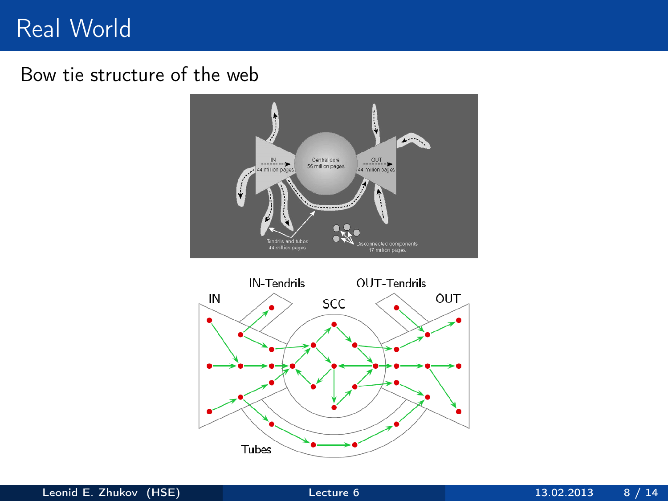## Real World

#### Bow tie structure of the web



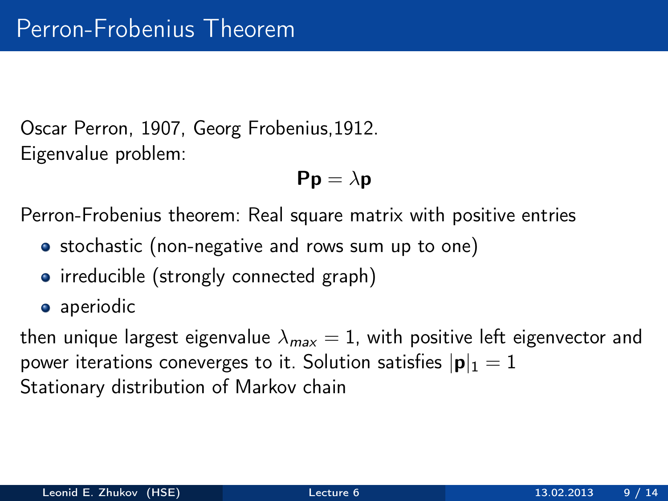Oscar Perron, 1907, Georg Frobenius,1912. Eigenvalue problem:

$$
\text{Pp}=\lambda\text{p}
$$

Perron-Frobenius theorem: Real square matrix with positive entries

- stochastic (non-negative and rows sum up to one)
- irreducible (strongly connected graph)
- aperiodic

then unique largest eigenvalue  $\lambda_{max} = 1$ , with positive left eigenvector and power iterations coneverges to it. Solution satisfies  $|\mathbf{p}|_1 = 1$ Stationary distribution of Markov chain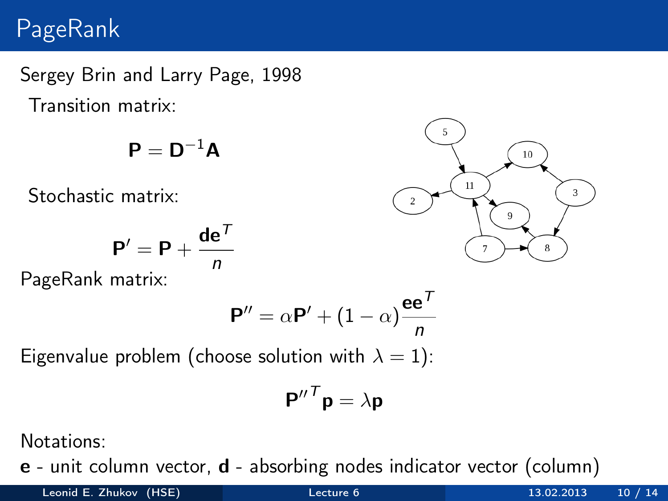## PageRank

Sergey Brin and Larry Page, 1998 Transition matrix:

$$
\bm{P} = \bm{D}^{-1}\bm{A}
$$

Stochastic matrix:

$$
\mathbf{P}' = \mathbf{P} + \frac{\mathbf{de}^T}{n}
$$

PageRank matrix:

$$
\mathbf{P}'' = \alpha \mathbf{P}' + (1 - \alpha) \frac{\mathbf{e} \mathbf{e}^T}{n}
$$

Eigenvalue problem (choose solution with  $\lambda = 1$ ):

$$
\mathbf{P''}^T \mathbf{p} = \lambda \mathbf{p}
$$

Notations:

e - unit column vector, d - absorbing nodes indicator vector (column)

5  $10<sup>10</sup>$  $11$ 3  $\overline{q}$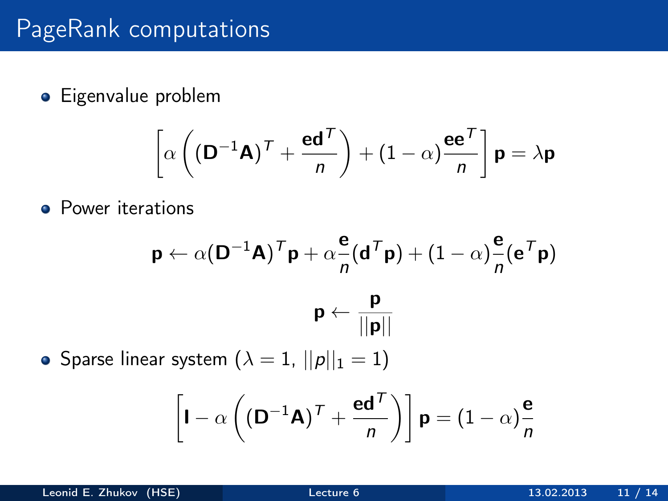# PageRank computations

**•** Eigenvalue problem

$$
\left[\alpha \left( \left(\mathbf{D}^{-1}\mathbf{A}\right)^{\mathsf{T}} + \frac{\mathbf{e}\mathbf{d}^{\mathsf{T}}}{n} \right) + \left(1 - \alpha\right)\frac{\mathbf{e}\mathbf{e}^{\mathsf{T}}}{n}\right] \mathbf{p} = \lambda \mathbf{p}
$$

**•** Power iterations

$$
\mathbf{p} \leftarrow \alpha (\mathbf{D}^{-1} \mathbf{A})^T \mathbf{p} + \alpha \frac{\mathbf{e}}{n} (\mathbf{d}^T \mathbf{p}) + (1 - \alpha) \frac{\mathbf{e}}{n} (\mathbf{e}^T \mathbf{p})
$$

$$
\mathbf{p} \leftarrow \frac{\mathbf{p}}{||\mathbf{p}||}
$$

• Sparse linear system  $(\lambda = 1, ||p||_1 = 1)$ 

$$
\left[\mathbf{I} - \alpha \left( (\mathbf{D}^{-1}\mathbf{A})^{\mathsf{T}} + \frac{\mathbf{e}\mathbf{d}^{\mathsf{T}}}{n} \right) \right] \mathbf{p} = (1 - \alpha)\frac{\mathbf{e}}{n}
$$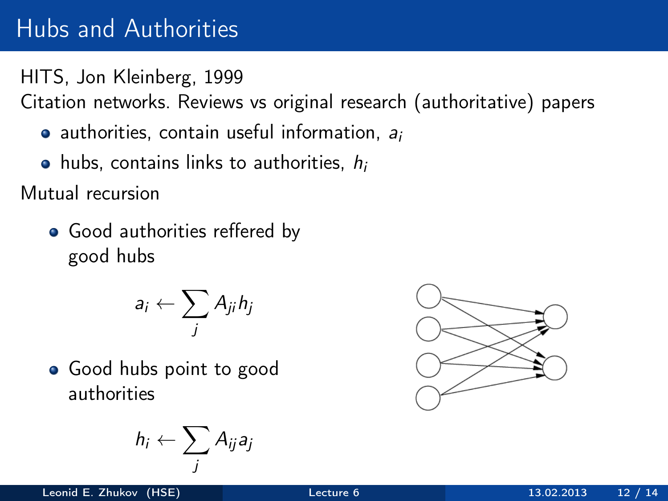# Hubs and Authorities

HITS, Jon Kleinberg, 1999

Citation networks. Reviews vs original research (authoritative) papers

- $\bullet$  authorities, contain useful information,  $a_i$
- $\bullet$  hubs, contains links to authorities,  $h_i$

Mutual recursion

• Good authorities reffered by good hubs

$$
a_i \leftarrow \sum_j A_{ji} h_j
$$

• Good hubs point to good authorities

$$
h_i \leftarrow \sum_j A_{ij} a_j
$$

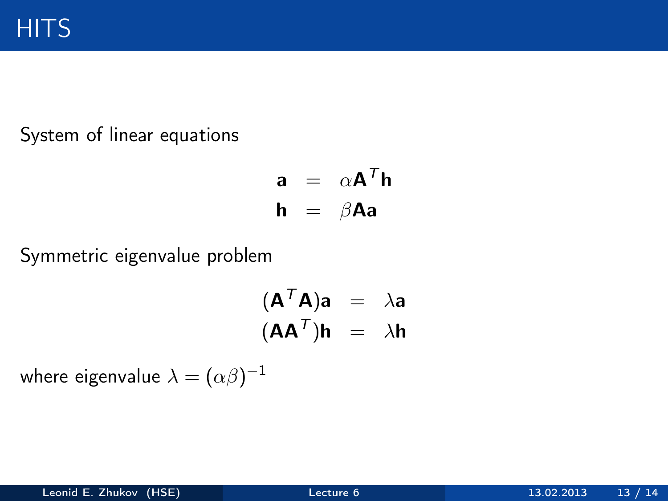System of linear equations

$$
\begin{array}{rcl}\n\mathbf{a} & = & \alpha \mathbf{A}^T \mathbf{h} \\
\mathbf{h} & = & \beta \mathbf{A} \mathbf{a}\n\end{array}
$$

Symmetric eigenvalue problem

$$
(\mathbf{A}^T \mathbf{A})\mathbf{a} = \lambda \mathbf{a}
$$

$$
(\mathbf{A} \mathbf{A}^T)\mathbf{h} = \lambda \mathbf{h}
$$

where eigenvalue  $\lambda=(\alpha\beta)^{-1}$